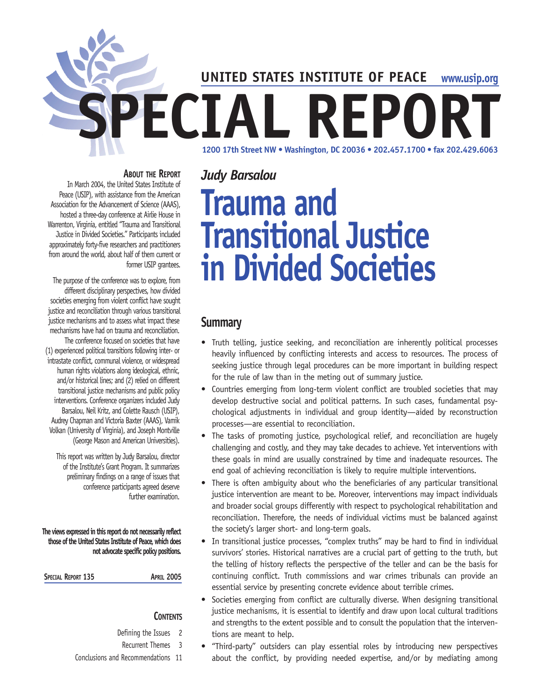**UNITED STATES INSTITUTE OF PEACE**

**www.usip.org**

**1200 17th Street NW • Washington, DC 20036 • 202.457.1700 • fax 202.429.6063 SPECIAL REPORT**

#### **ABOUT THE REPORT**

In March 2004, the United States Institute of Peace (USIP), with assistance from the American Association for the Advancement of Science (AAAS), hosted a three-day conference at Airlie House in Warrenton, Virginia, entitled "Trauma and Transitional Justice in Divided Societies." Participants included approximately forty-five researchers and practitioners from around the world, about half of them current or former USIP grantees.

The purpose of the conference was to explore, from different disciplinary perspectives, how divided societies emerging from violent conflict have sought justice and reconciliation through various transitional justice mechanisms and to assess what impact these mechanisms have had on trauma and reconciliation. The conference focused on societies that have (1) experienced political transitions following inter- or intrastate conflict, communal violence, or widespread human rights violations along ideological, ethnic, and/or historical lines; and (2) relied on different transitional justice mechanisms and public policy interventions. Conference organizers included Judy Barsalou, Neil Kritz, and Colette Rausch (USIP), Audrey Chapman and Victoria Baxter (AAAS), Vamik Volkan (University of Virginia), and Joseph Montville (George Mason and American Universities).

This report was written by Judy Barsalou, director of the Institute's Grant Program. It summarizes preliminary findings on a range of issues that conference participants agreed deserve further examination.

**The views expressed in this report do not necessarily reflect those of the United States Institute of Peace, which does not advocate specific policy positions.**

SPECIAL REPORT 135 **APRIL 2005** 

### **CONTENTS**

- Defining the Issues 2
- Recurrent Themes 3
- Conclusions and Recommendations 11

# **Trauma and Transitional Justice in Divided Societies**

# **Summary**

*Judy Barsalou*

- Truth telling, justice seeking, and reconciliation are inherently political processes heavily influenced by conflicting interests and access to resources. The process of seeking justice through legal procedures can be more important in building respect for the rule of law than in the meting out of summary justice.
- Countries emerging from long-term violent conflict are troubled societies that may develop destructive social and political patterns. In such cases, fundamental psychological adjustments in individual and group identity—aided by reconstruction processes—are essential to reconciliation.
- The tasks of promoting justice, psychological relief, and reconciliation are hugely challenging and costly, and they may take decades to achieve. Yet interventions with these goals in mind are usually constrained by time and inadequate resources. The end goal of achieving reconciliation is likely to require multiple interventions.
- There is often ambiguity about who the beneficiaries of any particular transitional justice intervention are meant to be. Moreover, interventions may impact individuals and broader social groups differently with respect to psychological rehabilitation and reconciliation. Therefore, the needs of individual victims must be balanced against the society's larger short- and long-term goals.
- In transitional justice processes, "complex truths" may be hard to find in individual survivors' stories. Historical narratives are a crucial part of getting to the truth, but the telling of history reflects the perspective of the teller and can be the basis for continuing conflict. Truth commissions and war crimes tribunals can provide an essential service by presenting concrete evidence about terrible crimes.
- Societies emerging from conflict are culturally diverse. When designing transitional justice mechanisms, it is essential to identify and draw upon local cultural traditions and strengths to the extent possible and to consult the population that the interventions are meant to help.
- "Third-party" outsiders can play essential roles by introducing new perspectives about the conflict, by providing needed expertise, and/or by mediating among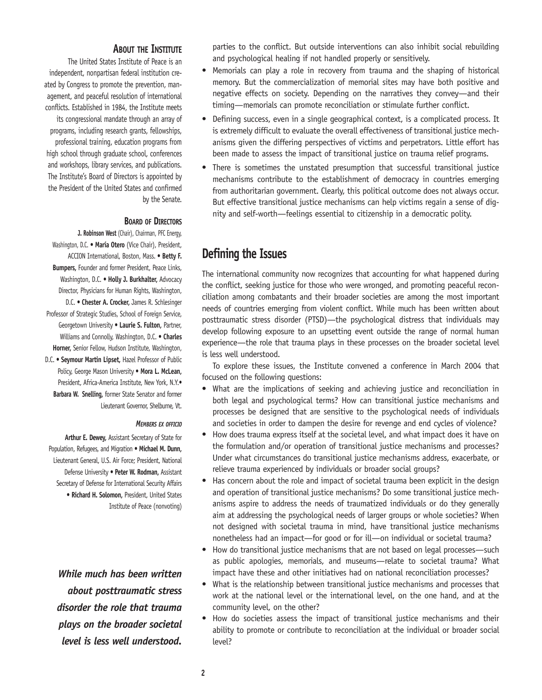#### **ABOUT THE INSTITUTE**

The United States Institute of Peace is an independent, nonpartisan federal institution created by Congress to promote the prevention, management, and peaceful resolution of international conflicts. Established in 1984, the Institute meets its congressional mandate through an array of programs, including research grants, fellowships, professional training, education programs from high school through graduate school, conferences and workshops, library services, and publications. The Institute's Board of Directors is appointed by the President of the United States and confirmed by the Senate.

#### **BOARD OF DIRECTORS**

**J. Robinson West** (Chair), Chairman, PFC Energy, Washington, D.C. • **María Otero** (Vice Chair), President, ACCION International, Boston, Mass. • **Betty F. Bumpers,** Founder and former President, Peace Links, Washington, D.C. • **Holly J. Burkhalter,** Advocacy Director, Physicians for Human Rights, Washington, D.C. • **Chester A. Crocker,** James R. Schlesinger Professor of Strategic Studies, School of Foreign Service, Georgetown University • **Laurie S. Fulton,** Partner, Williams and Connolly, Washington, D.C. • **Charles Horner,** Senior Fellow, Hudson Institute, Washington, D.C. • **Seymour Martin Lipset,** Hazel Professor of Public Policy, George Mason University • **Mora L. McLean,** President, Africa-America Institute, New York, N.Y.• **Barbara W. Snelling,** former State Senator and former Lieutenant Governor, Shelburne, Vt.

#### *MEMBERS EX OFFICIO*

**Arthur E. Dewey,** Assistant Secretary of State for Population, Refugees, and Migration • **Michael M. Dunn,** Lieutenant General, U.S. Air Force; President, National Defense University • **Peter W. Rodman,** Assistant Secretary of Defense for International Security Affairs • **Richard H. Solomon,** President, United States Institute of Peace (nonvoting)

*While much has been written about posttraumatic stress disorder the role that trauma plays on the broader societal level is less well understood.*

parties to the conflict. But outside interventions can also inhibit social rebuilding and psychological healing if not handled properly or sensitively.

- Memorials can play a role in recovery from trauma and the shaping of historical memory. But the commercialization of memorial sites may have both positive and negative effects on society. Depending on the narratives they convey—and their timing—memorials can promote reconciliation or stimulate further conflict.
- Defining success, even in a single geographical context, is a complicated process. It is extremely difficult to evaluate the overall effectiveness of transitional justice mechanisms given the differing perspectives of victims and perpetrators. Little effort has been made to assess the impact of transitional justice on trauma relief programs.
- There is sometimes the unstated presumption that successful transitional justice mechanisms contribute to the establishment of democracy in countries emerging from authoritarian government. Clearly, this political outcome does not always occur. But effective transitional justice mechanisms can help victims regain a sense of dignity and self-worth—feelings essential to citizenship in a democratic polity.

# **Defining the Issues**

The international community now recognizes that accounting for what happened during the conflict, seeking justice for those who were wronged, and promoting peaceful reconciliation among combatants and their broader societies are among the most important needs of countries emerging from violent conflict. While much has been written about posttraumatic stress disorder (PTSD)—the psychological distress that individuals may develop following exposure to an upsetting event outside the range of normal human experience—the role that trauma plays in these processes on the broader societal level is less well understood.

To explore these issues, the Institute convened a conference in March 2004 that focused on the following questions:

- What are the implications of seeking and achieving justice and reconciliation in both legal and psychological terms? How can transitional justice mechanisms and processes be designed that are sensitive to the psychological needs of individuals and societies in order to dampen the desire for revenge and end cycles of violence?
- How does trauma express itself at the societal level, and what impact does it have on the formulation and/or operation of transitional justice mechanisms and processes? Under what circumstances do transitional justice mechanisms address, exacerbate, or relieve trauma experienced by individuals or broader social groups?
- Has concern about the role and impact of societal trauma been explicit in the design and operation of transitional justice mechanisms? Do some transitional justice mechanisms aspire to address the needs of traumatized individuals or do they generally aim at addressing the psychological needs of larger groups or whole societies? When not designed with societal trauma in mind, have transitional justice mechanisms nonetheless had an impact—for good or for ill—on individual or societal trauma?
- How do transitional justice mechanisms that are not based on legal processes—such as public apologies, memorials, and museums—relate to societal trauma? What impact have these and other initiatives had on national reconciliation processes?
- What is the relationship between transitional justice mechanisms and processes that work at the national level or the international level, on the one hand, and at the community level, on the other?
- How do societies assess the impact of transitional justice mechanisms and their ability to promote or contribute to reconciliation at the individual or broader social level?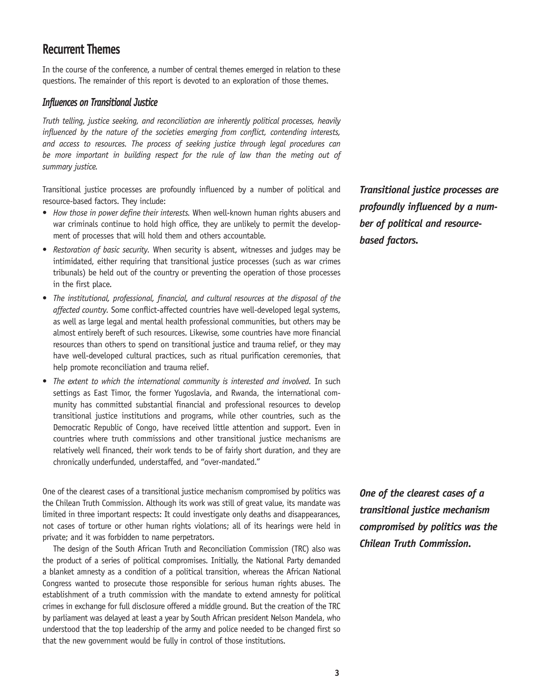# **Recurrent Themes**

In the course of the conference, a number of central themes emerged in relation to these questions. The remainder of this report is devoted to an exploration of those themes.

#### *Influences on Transitional Justice*

*Truth telling, justice seeking, and reconciliation are inherently political processes, heavily influenced by the nature of the societies emerging from conflict, contending interests, and access to resources. The process of seeking justice through legal procedures can*  be more important in building respect for the rule of law than the meting out of *summary justice.* 

Transitional justice processes are profoundly influenced by a number of political and resource-based factors. They include:

- *How those in power define their interests.* When well-known human rights abusers and war criminals continue to hold high office, they are unlikely to permit the development of processes that will hold them and others accountable.
- *Restoration of basic security.* When security is absent, witnesses and judges may be intimidated, either requiring that transitional justice processes (such as war crimes tribunals) be held out of the country or preventing the operation of those processes in the first place.
- *The institutional, professional, financial, and cultural resources at the disposal of the affected country.* Some conflict-affected countries have well-developed legal systems, as well as large legal and mental health professional communities, but others may be almost entirely bereft of such resources. Likewise, some countries have more financial resources than others to spend on transitional justice and trauma relief, or they may have well-developed cultural practices, such as ritual purification ceremonies, that help promote reconciliation and trauma relief.
- *The extent to which the international community is interested and involved.* In such settings as East Timor, the former Yugoslavia, and Rwanda, the international community has committed substantial financial and professional resources to develop transitional justice institutions and programs, while other countries, such as the Democratic Republic of Congo, have received little attention and support. Even in countries where truth commissions and other transitional justice mechanisms are relatively well financed, their work tends to be of fairly short duration, and they are chronically underfunded, understaffed, and "over-mandated."

One of the clearest cases of a transitional justice mechanism compromised by politics was the Chilean Truth Commission. Although its work was still of great value, its mandate was limited in three important respects: It could investigate only deaths and disappearances, not cases of torture or other human rights violations; all of its hearings were held in private; and it was forbidden to name perpetrators.

The design of the South African Truth and Reconciliation Commission (TRC) also was the product of a series of political compromises. Initially, the National Party demanded a blanket amnesty as a condition of a political transition, whereas the African National Congress wanted to prosecute those responsible for serious human rights abuses. The establishment of a truth commission with the mandate to extend amnesty for political crimes in exchange for full disclosure offered a middle ground. But the creation of the TRC by parliament was delayed at least a year by South African president Nelson Mandela, who understood that the top leadership of the army and police needed to be changed first so that the new government would be fully in control of those institutions.

*Transitional justice processes are profoundly influenced by a number of political and resourcebased factors.*

*One of the clearest cases of a transitional justice mechanism compromised by politics was the Chilean Truth Commission.*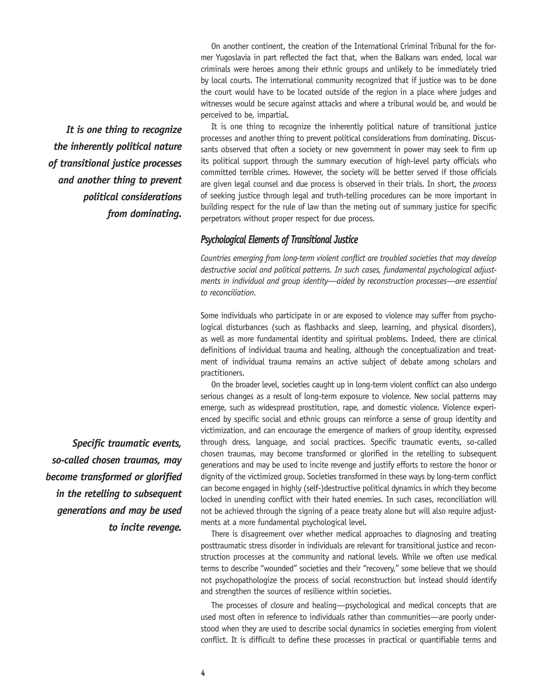On another continent, the creation of the International Criminal Tribunal for the former Yugoslavia in part reflected the fact that, when the Balkans wars ended, local war criminals were heroes among their ethnic groups and unlikely to be immediately tried by local courts. The international community recognized that if justice was to be done the court would have to be located outside of the region in a place where judges and witnesses would be secure against attacks and where a tribunal would be, and would be perceived to be, impartial.

It is one thing to recognize the inherently political nature of transitional justice processes and another thing to prevent political considerations from dominating. Discussants observed that often a society or new government in power may seek to firm up its political support through the summary execution of high-level party officials who committed terrible crimes. However, the society will be better served if those officials are given legal counsel and due process is observed in their trials. In short, the *process* of seeking justice through legal and truth-telling procedures can be more important in building respect for the rule of law than the meting out of summary justice for specific perpetrators without proper respect for due process.

#### *Psychological Elements of Transitional Justice*

*Countries emerging from long-term violent conflict are troubled societies that may develop destructive social and political patterns. In such cases, fundamental psychological adjustments in individual and group identity—aided by reconstruction processes—are essential to reconciliation.*

Some individuals who participate in or are exposed to violence may suffer from psychological disturbances (such as flashbacks and sleep, learning, and physical disorders), as well as more fundamental identity and spiritual problems. Indeed, there are clinical definitions of individual trauma and healing, although the conceptualization and treatment of individual trauma remains an active subject of debate among scholars and practitioners.

On the broader level, societies caught up in long-term violent conflict can also undergo serious changes as a result of long-term exposure to violence. New social patterns may emerge, such as widespread prostitution, rape, and domestic violence. Violence experienced by specific social and ethnic groups can reinforce a sense of group identity and victimization, and can encourage the emergence of markers of group identity, expressed through dress, language, and social practices. Specific traumatic events, so-called chosen traumas, may become transformed or glorified in the retelling to subsequent generations and may be used to incite revenge and justify efforts to restore the honor or dignity of the victimized group. Societies transformed in these ways by long-term conflict can become engaged in highly (self-)destructive political dynamics in which they become locked in unending conflict with their hated enemies. In such cases, reconciliation will not be achieved through the signing of a peace treaty alone but will also require adjustments at a more fundamental psychological level.

There is disagreement over whether medical approaches to diagnosing and treating posttraumatic stress disorder in individuals are relevant for transitional justice and reconstruction processes at the community and national levels. While we often use medical terms to describe "wounded" societies and their "recovery," some believe that we should not psychopathologize the process of social reconstruction but instead should identify and strengthen the sources of resilience within societies.

The processes of closure and healing—psychological and medical concepts that are used most often in reference to individuals rather than communities—are poorly understood when they are used to describe social dynamics in societies emerging from violent conflict. It is difficult to define these processes in practical or quantifiable terms and

*It is one thing to recognize the inherently political nature of transitional justice processes and another thing to prevent political considerations from dominating.*

*Specific traumatic events, so-called chosen traumas, may become transformed or glorified in the retelling to subsequent generations and may be used to incite revenge.*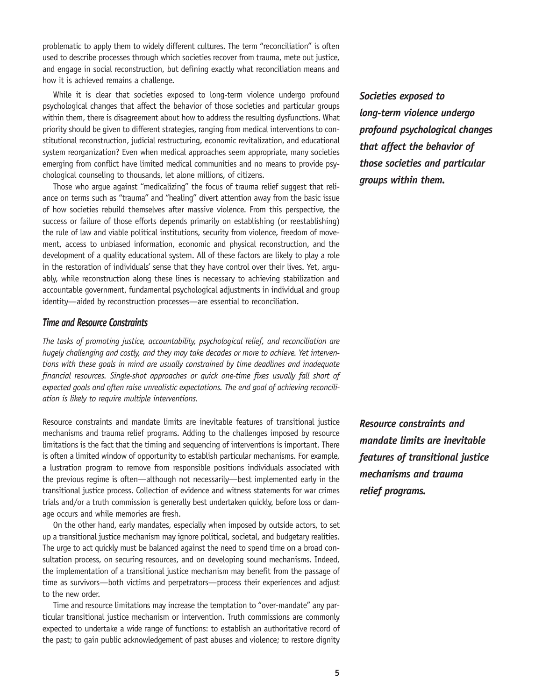problematic to apply them to widely different cultures. The term "reconciliation" is often used to describe processes through which societies recover from trauma, mete out justice, and engage in social reconstruction, but defining exactly what reconciliation means and how it is achieved remains a challenge.

While it is clear that societies exposed to long-term violence undergo profound psychological changes that affect the behavior of those societies and particular groups within them, there is disagreement about how to address the resulting dysfunctions. What priority should be given to different strategies, ranging from medical interventions to constitutional reconstruction, judicial restructuring, economic revitalization, and educational system reorganization? Even when medical approaches seem appropriate, many societies emerging from conflict have limited medical communities and no means to provide psychological counseling to thousands, let alone millions, of citizens.

Those who argue against "medicalizing" the focus of trauma relief suggest that reliance on terms such as "trauma" and "healing" divert attention away from the basic issue of how societies rebuild themselves after massive violence. From this perspective, the success or failure of those efforts depends primarily on establishing (or reestablishing) the rule of law and viable political institutions, security from violence, freedom of movement, access to unbiased information, economic and physical reconstruction, and the development of a quality educational system. All of these factors are likely to play a role in the restoration of individuals' sense that they have control over their lives. Yet, arguably, while reconstruction along these lines is necessary to achieving stabilization and accountable government, fundamental psychological adjustments in individual and group identity—aided by reconstruction processes—are essential to reconciliation.

## *Time and Resource Constraints*

*The tasks of promoting justice, accountability, psychological relief, and reconciliation are hugely challenging and costly, and they may take decades or more to achieve. Yet interventions with these goals in mind are usually constrained by time deadlines and inadequate financial resources. Single-shot approaches or quick one-time fixes usually fall short of expected goals and often raise unrealistic expectations. The end goal of achieving reconciliation is likely to require multiple interventions.*

Resource constraints and mandate limits are inevitable features of transitional justice mechanisms and trauma relief programs. Adding to the challenges imposed by resource limitations is the fact that the timing and sequencing of interventions is important. There is often a limited window of opportunity to establish particular mechanisms. For example, a lustration program to remove from responsible positions individuals associated with the previous regime is often—although not necessarily—best implemented early in the transitional justice process. Collection of evidence and witness statements for war crimes trials and/or a truth commission is generally best undertaken quickly, before loss or damage occurs and while memories are fresh.

On the other hand, early mandates, especially when imposed by outside actors, to set up a transitional justice mechanism may ignore political, societal, and budgetary realities. The urge to act quickly must be balanced against the need to spend time on a broad consultation process, on securing resources, and on developing sound mechanisms. Indeed, the implementation of a transitional justice mechanism may benefit from the passage of time as survivors—both victims and perpetrators—process their experiences and adjust to the new order.

Time and resource limitations may increase the temptation to "over-mandate" any particular transitional justice mechanism or intervention. Truth commissions are commonly expected to undertake a wide range of functions: to establish an authoritative record of the past; to gain public acknowledgement of past abuses and violence; to restore dignity *Societies exposed to long-term violence undergo profound psychological changes that affect the behavior of those societies and particular groups within them.*

*Resource constraints and mandate limits are inevitable features of transitional justice mechanisms and trauma relief programs.*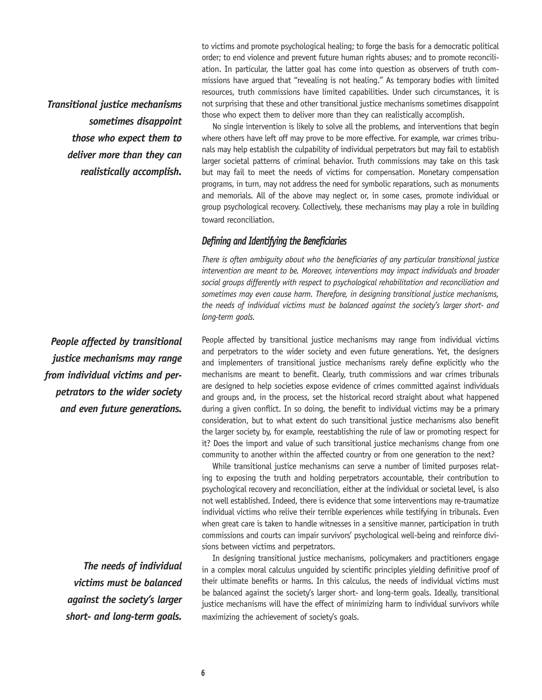*Transitional justice mechanisms sometimes disappoint those who expect them to deliver more than they can realistically accomplish.*

*People affected by transitional justice mechanisms may range from individual victims and perpetrators to the wider society and even future generations.*

> *The needs of individual victims must be balanced against the society's larger short- and long-term goals.*

to victims and promote psychological healing; to forge the basis for a democratic political order; to end violence and prevent future human rights abuses; and to promote reconciliation. In particular, the latter goal has come into question as observers of truth commissions have argued that "revealing is not healing." As temporary bodies with limited resources, truth commissions have limited capabilities. Under such circumstances, it is not surprising that these and other transitional justice mechanisms sometimes disappoint those who expect them to deliver more than they can realistically accomplish.

No single intervention is likely to solve all the problems, and interventions that begin where others have left off may prove to be more effective. For example, war crimes tribunals may help establish the culpability of individual perpetrators but may fail to establish larger societal patterns of criminal behavior. Truth commissions may take on this task but may fail to meet the needs of victims for compensation. Monetary compensation programs, in turn, may not address the need for symbolic reparations, such as monuments and memorials. All of the above may neglect or, in some cases, promote individual or group psychological recovery. Collectively, these mechanisms may play a role in building toward reconciliation.

#### *Defining and Identifying the Beneficiaries*

*There is often ambiguity about who the beneficiaries of any particular transitional justice intervention are meant to be. Moreover, interventions may impact individuals and broader social groups differently with respect to psychological rehabilitation and reconciliation and sometimes may even cause harm. Therefore, in designing transitional justice mechanisms, the needs of individual victims must be balanced against the society's larger short- and long-term goals.*

People affected by transitional justice mechanisms may range from individual victims and perpetrators to the wider society and even future generations. Yet, the designers and implementers of transitional justice mechanisms rarely define explicitly who the mechanisms are meant to benefit. Clearly, truth commissions and war crimes tribunals are designed to help societies expose evidence of crimes committed against individuals and groups and, in the process, set the historical record straight about what happened during a given conflict. In so doing, the benefit to individual victims may be a primary consideration, but to what extent do such transitional justice mechanisms also benefit the larger society by, for example, reestablishing the rule of law or promoting respect for it? Does the import and value of such transitional justice mechanisms change from one community to another within the affected country or from one generation to the next?

While transitional justice mechanisms can serve a number of limited purposes relating to exposing the truth and holding perpetrators accountable, their contribution to psychological recovery and reconciliation, either at the individual or societal level, is also not well established. Indeed, there is evidence that some interventions may re-traumatize individual victims who relive their terrible experiences while testifying in tribunals. Even when great care is taken to handle witnesses in a sensitive manner, participation in truth commissions and courts can impair survivors' psychological well-being and reinforce divisions between victims and perpetrators.

In designing transitional justice mechanisms, policymakers and practitioners engage in a complex moral calculus unguided by scientific principles yielding definitive proof of their ultimate benefits or harms. In this calculus, the needs of individual victims must be balanced against the society's larger short- and long-term goals. Ideally, transitional justice mechanisms will have the effect of minimizing harm to individual survivors while maximizing the achievement of society's goals.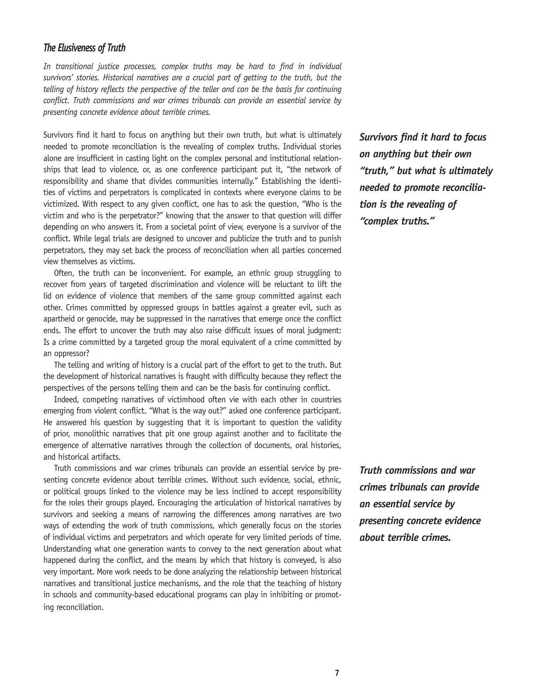## *The Elusiveness of Truth*

*In transitional justice processes, complex truths may be hard to find in individual*  survivors' stories. Historical narratives are a crucial part of getting to the truth, but the *telling of history reflects the perspective of the teller and can be the basis for continuing conflict. Truth commissions and war crimes tribunals can provide an essential service by presenting concrete evidence about terrible crimes.*

Survivors find it hard to focus on anything but their own truth, but what is ultimately needed to promote reconciliation is the revealing of complex truths. Individual stories alone are insufficient in casting light on the complex personal and institutional relationships that lead to violence, or, as one conference participant put it, "the network of responsibility and shame that divides communities internally." Establishing the identities of victims and perpetrators is complicated in contexts where everyone claims to be victimized. With respect to any given conflict, one has to ask the question, "Who is the victim and who is the perpetrator?" knowing that the answer to that question will differ depending on who answers it. From a societal point of view, everyone is a survivor of the conflict. While legal trials are designed to uncover and publicize the truth and to punish perpetrators, they may set back the process of reconciliation when all parties concerned view themselves as victims.

Often, the truth can be inconvenient. For example, an ethnic group struggling to recover from years of targeted discrimination and violence will be reluctant to lift the lid on evidence of violence that members of the same group committed against each other. Crimes committed by oppressed groups in battles against a greater evil, such as apartheid or genocide, may be suppressed in the narratives that emerge once the conflict ends. The effort to uncover the truth may also raise difficult issues of moral judgment: Is a crime committed by a targeted group the moral equivalent of a crime committed by an oppressor?

The telling and writing of history is a crucial part of the effort to get to the truth. But the development of historical narratives is fraught with difficulty because they reflect the perspectives of the persons telling them and can be the basis for continuing conflict.

Indeed, competing narratives of victimhood often vie with each other in countries emerging from violent conflict. "What is the way out?" asked one conference participant. He answered his question by suggesting that it is important to question the validity of prior, monolithic narratives that pit one group against another and to facilitate the emergence of alternative narratives through the collection of documents, oral histories, and historical artifacts.

Truth commissions and war crimes tribunals can provide an essential service by presenting concrete evidence about terrible crimes. Without such evidence, social, ethnic, or political groups linked to the violence may be less inclined to accept responsibility for the roles their groups played. Encouraging the articulation of historical narratives by survivors and seeking a means of narrowing the differences among narratives are two ways of extending the work of truth commissions, which generally focus on the stories of individual victims and perpetrators and which operate for very limited periods of time. Understanding what one generation wants to convey to the next generation about what happened during the conflict, and the means by which that history is conveyed, is also very important. More work needs to be done analyzing the relationship between historical narratives and transitional justice mechanisms, and the role that the teaching of history in schools and community-based educational programs can play in inhibiting or promoting reconciliation.

*Survivors find it hard to focus on anything but their own "truth," but what is ultimately needed to promote reconciliation is the revealing of "complex truths."*

*Truth commissions and war crimes tribunals can provide an essential service by presenting concrete evidence about terrible crimes.*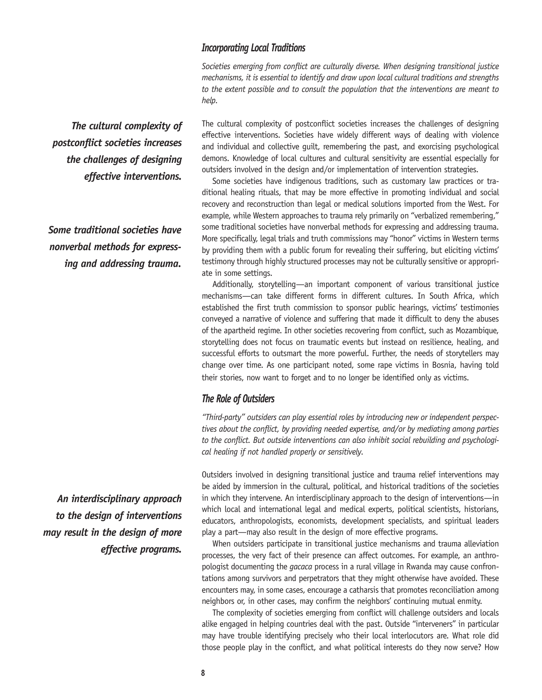## *Incorporating Local Traditions*

*Societies emerging from conflict are culturally diverse. When designing transitional justice mechanisms, it is essential to identify and draw upon local cultural traditions and strengths to the extent possible and to consult the population that the interventions are meant to help.*

*The cultural complexity of postconflict societies increases the challenges of designing effective interventions.*

*Some traditional societies have nonverbal methods for expressing and addressing trauma.* 

*An interdisciplinary approach to the design of interventions may result in the design of more effective programs.* 

The cultural complexity of postconflict societies increases the challenges of designing effective interventions. Societies have widely different ways of dealing with violence and individual and collective guilt, remembering the past, and exorcising psychological demons. Knowledge of local cultures and cultural sensitivity are essential especially for outsiders involved in the design and/or implementation of intervention strategies.

Some societies have indigenous traditions, such as customary law practices or traditional healing rituals, that may be more effective in promoting individual and social recovery and reconstruction than legal or medical solutions imported from the West. For example, while Western approaches to trauma rely primarily on "verbalized remembering," some traditional societies have nonverbal methods for expressing and addressing trauma. More specifically, legal trials and truth commissions may "honor" victims in Western terms by providing them with a public forum for revealing their suffering, but eliciting victims' testimony through highly structured processes may not be culturally sensitive or appropriate in some settings.

Additionally, storytelling—an important component of various transitional justice mechanisms—can take different forms in different cultures. In South Africa, which established the first truth commission to sponsor public hearings, victims' testimonies conveyed a narrative of violence and suffering that made it difficult to deny the abuses of the apartheid regime. In other societies recovering from conflict, such as Mozambique, storytelling does not focus on traumatic events but instead on resilience, healing, and successful efforts to outsmart the more powerful. Further, the needs of storytellers may change over time. As one participant noted, some rape victims in Bosnia, having told their stories, now want to forget and to no longer be identified only as victims.

# *The Role of Outsiders*

*"Third-party" outsiders can play essential roles by introducing new or independent perspectives about the conflict, by providing needed expertise, and/or by mediating among parties to the conflict. But outside interventions can also inhibit social rebuilding and psychological healing if not handled properly or sensitively.* 

Outsiders involved in designing transitional justice and trauma relief interventions may be aided by immersion in the cultural, political, and historical traditions of the societies in which they intervene. An interdisciplinary approach to the design of interventions—in which local and international legal and medical experts, political scientists, historians, educators, anthropologists, economists, development specialists, and spiritual leaders play a part—may also result in the design of more effective programs.

When outsiders participate in transitional justice mechanisms and trauma alleviation processes, the very fact of their presence can affect outcomes. For example, an anthropologist documenting the *gacaca* process in a rural village in Rwanda may cause confrontations among survivors and perpetrators that they might otherwise have avoided. These encounters may, in some cases, encourage a catharsis that promotes reconciliation among neighbors or, in other cases, may confirm the neighbors' continuing mutual enmity.

The complexity of societies emerging from conflict will challenge outsiders and locals alike engaged in helping countries deal with the past. Outside "interveners" in particular may have trouble identifying precisely who their local interlocutors are. What role did those people play in the conflict, and what political interests do they now serve? How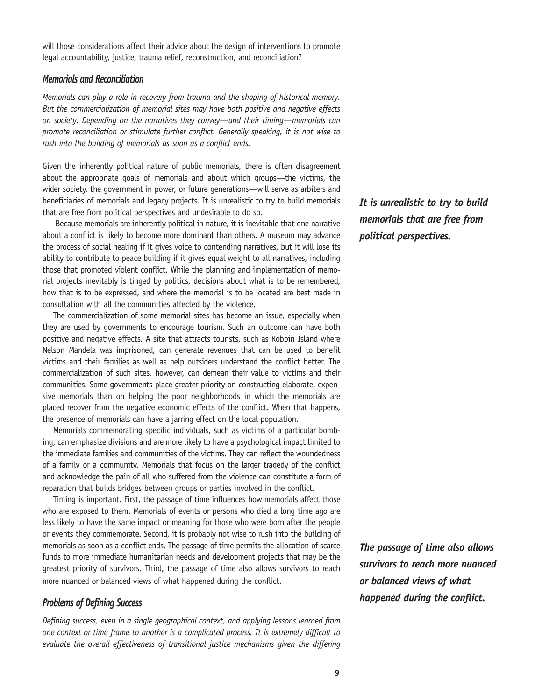will those considerations affect their advice about the design of interventions to promote legal accountability, justice, trauma relief, reconstruction, and reconciliation?

#### *Memorials and Reconciliation*

*Memorials can play a role in recovery from trauma and the shaping of historical memory. But the commercialization of memorial sites may have both positive and negative effects on society. Depending on the narratives they convey—and their timing—memorials can promote reconciliation or stimulate further conflict. Generally speaking, it is not wise to rush into the building of memorials as soon as a conflict ends.*

Given the inherently political nature of public memorials, there is often disagreement about the appropriate goals of memorials and about which groups—the victims, the wider society, the government in power, or future generations—will serve as arbiters and beneficiaries of memorials and legacy projects. It is unrealistic to try to build memorials that are free from political perspectives and undesirable to do so.

 Because memorials are inherently political in nature, it is inevitable that one narrative about a conflict is likely to become more dominant than others. A museum may advance the process of social healing if it gives voice to contending narratives, but it will lose its ability to contribute to peace building if it gives equal weight to all narratives, including those that promoted violent conflict. While the planning and implementation of memorial projects inevitably is tinged by politics, decisions about what is to be remembered, how that is to be expressed, and where the memorial is to be located are best made in consultation with all the communities affected by the violence.

The commercialization of some memorial sites has become an issue, especially when they are used by governments to encourage tourism. Such an outcome can have both positive and negative effects. A site that attracts tourists, such as Robbin Island where Nelson Mandela was imprisoned, can generate revenues that can be used to benefit victims and their families as well as help outsiders understand the conflict better. The commercialization of such sites, however, can demean their value to victims and their communities. Some governments place greater priority on constructing elaborate, expensive memorials than on helping the poor neighborhoods in which the memorials are placed recover from the negative economic effects of the conflict. When that happens, the presence of memorials can have a jarring effect on the local population.

Memorials commemorating specific individuals, such as victims of a particular bombing, can emphasize divisions and are more likely to have a psychological impact limited to the immediate families and communities of the victims. They can reflect the woundedness of a family or a community. Memorials that focus on the larger tragedy of the conflict and acknowledge the pain of all who suffered from the violence can constitute a form of reparation that builds bridges between groups or parties involved in the conflict.

Timing is important. First, the passage of time influences how memorials affect those who are exposed to them. Memorials of events or persons who died a long time ago are less likely to have the same impact or meaning for those who were born after the people or events they commemorate. Second, it is probably not wise to rush into the building of memorials as soon as a conflict ends. The passage of time permits the allocation of scarce funds to more immediate humanitarian needs and development projects that may be the greatest priority of survivors. Third, the passage of time also allows survivors to reach more nuanced or balanced views of what happened during the conflict.

## *Problems of Defining Success*

*Defining success, even in a single geographical context, and applying lessons learned from one context or time frame to another is a complicated process. It is extremely difficult to*  evaluate the overall effectiveness of transitional justice mechanisms given the differing *It is unrealistic to try to build memorials that are free from political perspectives.*

*The passage of time also allows survivors to reach more nuanced or balanced views of what happened during the conflict.*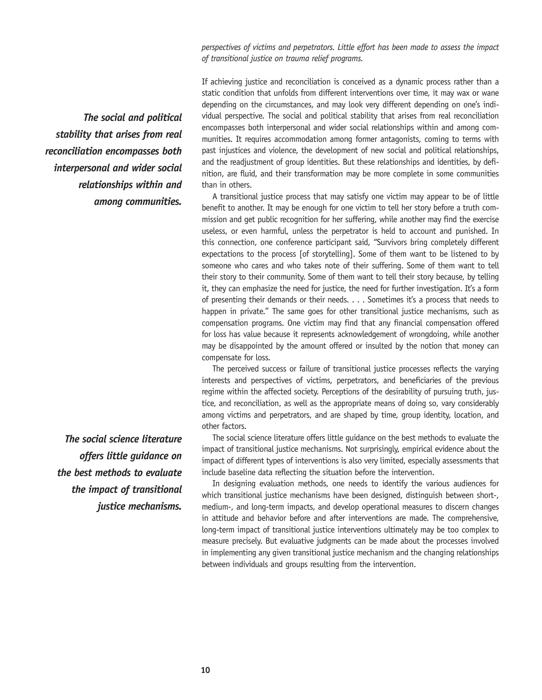*perspectives of victims and perpetrators. Little effort has been made to assess the impact of transitional justice on trauma relief programs.*

 *The social and political stability that arises from real reconciliation encompasses both interpersonal and wider social relationships within and among communities.*

*The social science literature offers little guidance on the best methods to evaluate the impact of transitional justice mechanisms.* 

If achieving justice and reconciliation is conceived as a dynamic process rather than a static condition that unfolds from different interventions over time, it may wax or wane depending on the circumstances, and may look very different depending on one's individual perspective. The social and political stability that arises from real reconciliation encompasses both interpersonal and wider social relationships within and among communities. It requires accommodation among former antagonists, coming to terms with past injustices and violence, the development of new social and political relationships, and the readjustment of group identities. But these relationships and identities, by definition, are fluid, and their transformation may be more complete in some communities than in others.

A transitional justice process that may satisfy one victim may appear to be of little benefit to another. It may be enough for one victim to tell her story before a truth commission and get public recognition for her suffering, while another may find the exercise useless, or even harmful, unless the perpetrator is held to account and punished. In this connection, one conference participant said, "Survivors bring completely different expectations to the process [of storytelling]. Some of them want to be listened to by someone who cares and who takes note of their suffering. Some of them want to tell their story to their community. Some of them want to tell their story because, by telling it, they can emphasize the need for justice, the need for further investigation. It's a form of presenting their demands or their needs. . . . Sometimes it's a process that needs to happen in private." The same goes for other transitional justice mechanisms, such as compensation programs. One victim may find that any financial compensation offered for loss has value because it represents acknowledgement of wrongdoing, while another may be disappointed by the amount offered or insulted by the notion that money can compensate for loss.

The perceived success or failure of transitional justice processes reflects the varying interests and perspectives of victims, perpetrators, and beneficiaries of the previous regime within the affected society. Perceptions of the desirability of pursuing truth, justice, and reconciliation, as well as the appropriate means of doing so, vary considerably among victims and perpetrators, and are shaped by time, group identity, location, and other factors.

The social science literature offers little guidance on the best methods to evaluate the impact of transitional justice mechanisms. Not surprisingly, empirical evidence about the impact of different types of interventions is also very limited, especially assessments that include baseline data reflecting the situation before the intervention.

In designing evaluation methods, one needs to identify the various audiences for which transitional justice mechanisms have been designed, distinguish between short-, medium-, and long-term impacts, and develop operational measures to discern changes in attitude and behavior before and after interventions are made. The comprehensive, long-term impact of transitional justice interventions ultimately may be too complex to measure precisely. But evaluative judgments can be made about the processes involved in implementing any given transitional justice mechanism and the changing relationships between individuals and groups resulting from the intervention.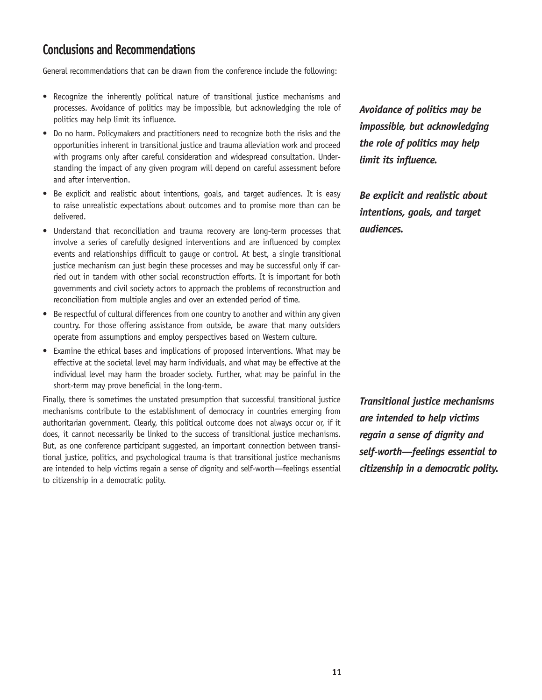# **Conclusions and Recommendations**

General recommendations that can be drawn from the conference include the following:

- Recognize the inherently political nature of transitional justice mechanisms and processes. Avoidance of politics may be impossible, but acknowledging the role of politics may help limit its influence.
- Do no harm. Policymakers and practitioners need to recognize both the risks and the opportunities inherent in transitional justice and trauma alleviation work and proceed with programs only after careful consideration and widespread consultation. Understanding the impact of any given program will depend on careful assessment before and after intervention.
- Be explicit and realistic about intentions, goals, and target audiences. It is easy to raise unrealistic expectations about outcomes and to promise more than can be delivered.
- Understand that reconciliation and trauma recovery are long-term processes that involve a series of carefully designed interventions and are influenced by complex events and relationships difficult to gauge or control. At best, a single transitional justice mechanism can just begin these processes and may be successful only if carried out in tandem with other social reconstruction efforts. It is important for both governments and civil society actors to approach the problems of reconstruction and reconciliation from multiple angles and over an extended period of time.
- Be respectful of cultural differences from one country to another and within any given country. For those offering assistance from outside, be aware that many outsiders operate from assumptions and employ perspectives based on Western culture.
- Examine the ethical bases and implications of proposed interventions. What may be effective at the societal level may harm individuals, and what may be effective at the individual level may harm the broader society. Further, what may be painful in the short-term may prove beneficial in the long-term.

Finally, there is sometimes the unstated presumption that successful transitional justice mechanisms contribute to the establishment of democracy in countries emerging from authoritarian government. Clearly, this political outcome does not always occur or, if it does, it cannot necessarily be linked to the success of transitional justice mechanisms. But, as one conference participant suggested, an important connection between transitional justice, politics, and psychological trauma is that transitional justice mechanisms are intended to help victims regain a sense of dignity and self-worth—feelings essential to citizenship in a democratic polity.

*Avoidance of politics may be impossible, but acknowledging the role of politics may help limit its influence.*

*Be explicit and realistic about intentions, goals, and target audiences.*

*Transitional justice mechanisms are intended to help victims regain a sense of dignity and self-worth—feelings essential to citizenship in a democratic polity.*